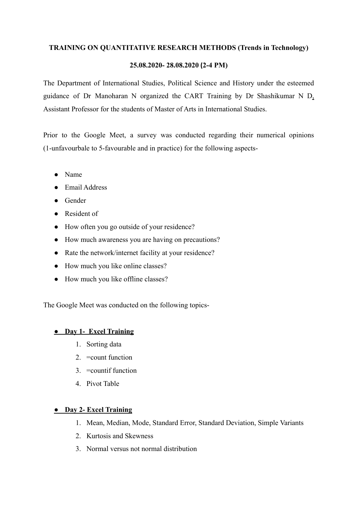# **TRAINING ON QUANTITATIVE RESEARCH METHODS (Trends in Technology)**

#### **25.08.2020- 28.08.2020 (2-4 PM)**

The Department of International Studies, Political Science and History under the esteemed guidance of Dr Manoharan N organized the CART Training by Dr Shashikumar N D, Assistant Professor for the students of Master of Arts in International Studies.

Prior to the Google Meet, a survey was conducted regarding their numerical opinions (1-unfavourbale to 5-favourable and in practice) for the following aspects-

- Name
- Email Address
- Gender
- Resident of
- How often you go outside of your residence?
- How much awareness you are having on precautions?
- Rate the network/internet facility at your residence?
- How much you like online classes?
- How much you like offline classes?

The Google Meet was conducted on the following topics-

#### **● Day 1- Excel Training**

- 1. Sorting data
- 2. =count function
- 3. =countif function
- 4. Pivot Table

# **● Day 2- Excel Training**

- 1. Mean, Median, Mode, Standard Error, Standard Deviation, Simple Variants
- 2. Kurtosis and Skewness
- 3. Normal versus not normal distribution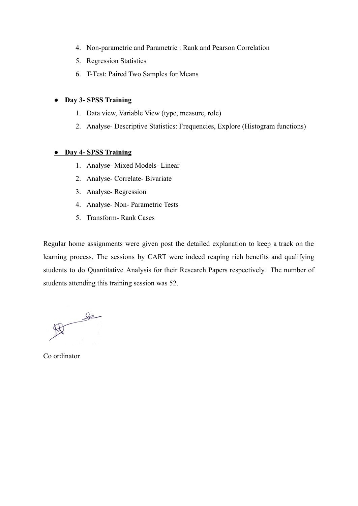- 4. Non-parametric and Parametric : Rank and Pearson Correlation
- 5. Regression Statistics
- 6. T-Test: Paired Two Samples for Means

## **● Day 3- SPSS Training**

- 1. Data view, Variable View (type, measure, role)
- 2. Analyse- Descriptive Statistics: Frequencies, Explore (Histogram functions)

## **● Day 4- SPSS Training**

- 1. Analyse- Mixed Models- Linear
- 2. Analyse- Correlate- Bivariate
- 3. Analyse- Regression
- 4. Analyse- Non- Parametric Tests
- 5. Transform- Rank Cases

Regular home assignments were given post the detailed explanation to keep a track on the learning process. The sessions by CART were indeed reaping rich benefits and qualifying students to do Quantitative Analysis for their Research Papers respectively. The number of students attending this training session was 52.

 $\frac{q}{q}$ 

Co ordinator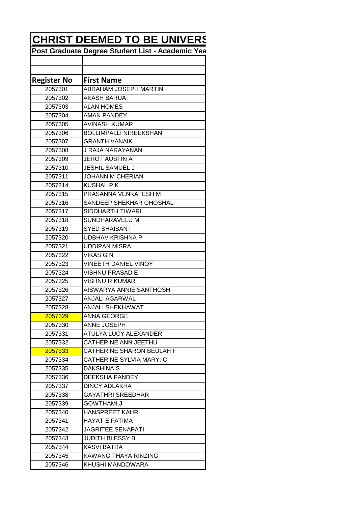| <b>CHRIST DEEMED TO BE UNIVERS</b>               |                                |  |  |
|--------------------------------------------------|--------------------------------|--|--|
| Post Graduate Degree Student List - Academic Yea |                                |  |  |
|                                                  |                                |  |  |
|                                                  |                                |  |  |
| <b>Register No</b>                               | <b>First Name</b>              |  |  |
| 2057301                                          | ABRAHAM JOSEPH MARTIN          |  |  |
| 2057302                                          | <b>AKASH BARUA</b>             |  |  |
| 2057303                                          | <b>ALAN HOMES</b>              |  |  |
| 2057304                                          | <b>AMAN PANDEY</b>             |  |  |
| 2057305                                          | <b>AVINASH KUMAR</b>           |  |  |
| 2057306                                          | <b>BOLLIMPALLI NIREEKSHAN</b>  |  |  |
| 2057307                                          | <b>GRANTH VANAIK</b>           |  |  |
| 2057308                                          | <b>J RAJA NARAYANAN</b>        |  |  |
| 2057309                                          | <b>JERO FAUSTIN A</b>          |  |  |
| 2057310                                          | <b>JESHIL SAMUEL J</b>         |  |  |
| 2057311                                          | JOHANN M CHERIAN               |  |  |
| 2057314                                          | <b>KUSHAL P K</b>              |  |  |
| 2057315                                          | PRASANNA VENKATESH M           |  |  |
| 2057316                                          | <b>SANDEEP SHEKHAR GHOSHAL</b> |  |  |
| 2057317                                          | SIDDHARTH TIWARI               |  |  |
| 2057318                                          | SUNDHARAVELU M                 |  |  |
| 2057319                                          | <b>SYED SHAIBAN I</b>          |  |  |
| 2057320                                          | <b>UDBHAV KRISHNA P</b>        |  |  |
| 2057321                                          | <b>UDDIPAN MISRA</b>           |  |  |
| 2057322                                          | VIKAS G N                      |  |  |
| 2057323                                          | <b>VINEETH DANIEL VINOY</b>    |  |  |
| 2057324                                          | <b>VISHNU PRASAD E</b>         |  |  |
| 2057325                                          | <b>VISHNU R KUMAR</b>          |  |  |
| 2057326                                          | AISWARYA ANNIE SANTHOSH        |  |  |
| 2057327                                          | ANJALI AGARWAL                 |  |  |
| 2057328                                          | <b>ANJALI SHEKHAWAT</b>        |  |  |
| 2057329                                          | <b>ANNA GEORGE</b>             |  |  |
| 2057330                                          | <b>ANNE JOSEPH</b>             |  |  |
| 2057331                                          | ATULYA LUCY ALEXANDER          |  |  |
| 2057332                                          | CATHERINE ANN JEETHU           |  |  |
| 2057333                                          | CATHERINE SHARON BEULAH F      |  |  |
| 2057334                                          | CATHERINE SYLVIA MARY, C       |  |  |
| 2057335                                          | DAKSHINA S                     |  |  |
| 2057336                                          | <b>DEEKSHA PANDEY</b>          |  |  |
| 2057337                                          | <b>DINCY ADLAKHA</b>           |  |  |
| 2057338                                          | <b>GAYATHRI SREEDHAR</b>       |  |  |
| 2057339                                          | GOWTHAMI.J                     |  |  |
| 2057340                                          | <b>HANSPREET KAUR</b>          |  |  |
| 2057341                                          | <b>HAYAT E FATIMA</b>          |  |  |
| 2057342                                          | <b>JAGRITEE SENAPATI</b>       |  |  |
| 2057343                                          | JUDITH BLESSY B                |  |  |
| 2057344                                          | <b>KASVI BATRA</b>             |  |  |
| 2057345                                          | <b>KAWANG THAYA RINZING</b>    |  |  |
| 2057346                                          | KHUSHI MANDOWARA               |  |  |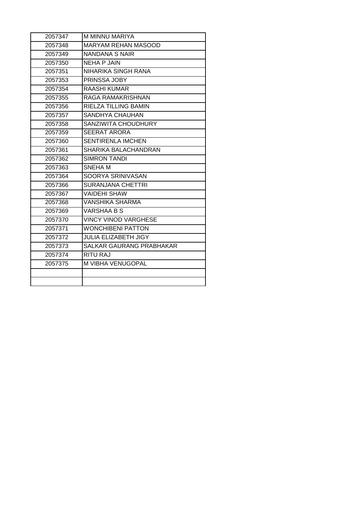| 2057347 | M MINNU MARIYA              |  |
|---------|-----------------------------|--|
| 2057348 | <b>MARYAM REHAN MASOOD</b>  |  |
| 2057349 | <b>NANDANA S NAIR</b>       |  |
| 2057350 | <b>NEHA P JAIN</b>          |  |
| 2057351 | NIHARIKA SINGH RANA         |  |
| 2057353 | PRINSSA JOBY                |  |
| 2057354 | <b>RAASHI KUMAR</b>         |  |
| 2057355 | RAGA RAMAKRISHNAN           |  |
| 2057356 | <b>RIELZA TILLING BAMIN</b> |  |
| 2057357 | SANDHYA CHAUHAN             |  |
| 2057358 | SANZIWITA CHOUDHURY         |  |
| 2057359 | <b>SEERAT ARORA</b>         |  |
| 2057360 | <b>SENTIRENLA IMCHEN</b>    |  |
| 2057361 | SHARIKA BALACHANDRAN        |  |
| 2057362 | <b>SIMRON TANDI</b>         |  |
| 2057363 | SNEHA M                     |  |
| 2057364 | SOORYA SRINIVASAN           |  |
| 2057366 | <b>SURANJANA CHETTRI</b>    |  |
| 2057367 | <b>VAIDEHI SHAW</b>         |  |
| 2057368 | VANSHIKA SHARMA             |  |
| 2057369 | VARSHAA B S                 |  |
| 2057370 | <b>VINCY VINOD VARGHESE</b> |  |
| 2057371 | <b>WONCHIBENI PATTON</b>    |  |
| 2057372 | <b>JULIA ELIZABETH JIGY</b> |  |
| 2057373 | SALKAR GAURANG PRABHAKAR    |  |
| 2057374 | RITU RAJ                    |  |
| 2057375 | <b>M VIBHA VENUGOPAL</b>    |  |
|         |                             |  |
|         |                             |  |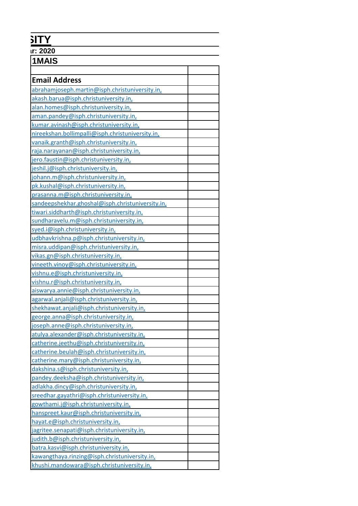# **CHRIST DEEMED SITY**

**Post Cramber 2020 1MAIS Email Address** [abrahamjoseph.martin@isph.christuniversity.in,](mailto:abrahamjoseph.martin@isph.christuniversity.in,) [akash.barua@isph.christuniversity.in,](mailto:akash.barua@isph.christuniversity.in,) [alan.homes@isph.christuniversity.in,](mailto:alan.homes@isph.christuniversity.in,) [aman.pandey@isph.christuniversity.in,](mailto:aman.pandey@isph.christuniversity.in,) [kumar.avinash@isph.christuniversity.in,](mailto:kumar.avinash@isph.christuniversity.in,) [nireekshan.bollimpalli@isph.christuniversity.in,](mailto:nireekshan.bollimpalli@isph.christuniversity.in,) [vanaik.granth@isph.christuniversity.in,](mailto:vanaik.granth@isph.christuniversity.in,) [raja.narayanan@isph.christuniversity.in,](mailto:raja.narayanan@isph.christuniversity.in,) [jero.faustin@isph.christuniversity.in,](mailto:jero.faustin@isph.christuniversity.in,) [jeshil.j@isph.christuniversity.in,](mailto:jeshil.j@isph.christuniversity.in,) [johann.m@isph.christuniversity.in,](mailto:johann.m@isph.christuniversity.in,) [pk.kushal@isph.christuniversity.in,](mailto:pk.kushal@isph.christuniversity.in,) [prasanna.m@isph.christuniversity.in,](mailto:prasanna.m@isph.christuniversity.in,) [sandeepshekhar.ghoshal@isph.christuniversity.in,](mailto:sandeepshekhar.ghoshal@isph.christuniversity.in,) [tiwari.siddharth@isph.christuniversity.in,](mailto:tiwari.siddharth@isph.christuniversity.in,) [sundharavelu.m@isph.christuniversity.in,](mailto:sundharavelu.m@isph.christuniversity.in,) [syed.i@isph.christuniversity.in,](mailto:syed.i@isph.christuniversity.in,) [udbhavkrishna.p@isph.christuniversity.in,](mailto:udbhavkrishna.p@isph.christuniversity.in,) [misra.uddipan@isph.christuniversity.in,](mailto:misra.uddipan@isph.christuniversity.in,) [vikas.gn@isph.christuniversity.in,](mailto:vikas.gn@isph.christuniversity.in,) [vineeth.vinoy@isph.christuniversity.in,](mailto:vineeth.vinoy@isph.christuniversity.in,) [vishnu.e@isph.christuniversity.in,](mailto:vishnu.e@isph.christuniversity.in,) [vishnu.r@isph.christuniversity.in,](mailto:vishnu.r@isph.christuniversity.in,) [aiswarya.annie@isph.christuniversity.in,](mailto:aiswarya.annie@isph.christuniversity.in,) [agarwal.anjali@isph.christuniversity.in,](mailto:agarwal.anjali@isph.christuniversity.in,) [shekhawat.anjali@isph.christuniversity.in,](mailto:shekhawat.anjali@isph.christuniversity.in,) [george.anna@isph.christuniversity.in,](mailto:george.anna@isph.christuniversity.in,) [joseph.anne@isph.christuniversity.in,](mailto:joseph.anne@isph.christuniversity.in,) [atulya.alexander@isph.christuniversity.in,](mailto:atulya.alexander@isph.christuniversity.in,) [catherine.jeethu@isph.christuniversity.in,](mailto:catherine.jeethu@isph.christuniversity.in,) [catherine.beulah@isph.christuniversity.in,](mailto:catherine.beulah@isph.christuniversity.in,) [catherine.mary@isph.christuniversity.in,](mailto:catherine.mary@isph.christuniversity.in,) [dakshina.s@isph.christuniversity.in,](mailto:dakshina.s@isph.christuniversity.in,) [pandey.deeksha@isph.christuniversity.in,](mailto:pandey.deeksha@isph.christuniversity.in,) [adlakha.dincy@isph.christuniversity.in,](mailto:adlakha.dincy@isph.christuniversity.in,) [sreedhar.gayathri@isph.christuniversity.in,](mailto:sreedhar.gayathri@isph.christuniversity.in,) [gowthami.j@isph.christuniversity.in,](mailto:gowthami.j@isph.christuniversity.in,) [hanspreet.kaur@isph.christuniversity.in,](mailto:hanspreet.kaur@isph.christuniversity.in,) [hayat.e@isph.christuniversity.in,](mailto:hayat.e@isph.christuniversity.in,) [jagritee.senapati@isph.christuniversity.in,](mailto:jagritee.senapati@isph.christuniversity.in,) [judith.b@isph.christuniversity.in,](mailto:judith.b@isph.christuniversity.in,) [batra.kasvi@isph.christuniversity.in,](mailto:batra.kasvi@isph.christuniversity.in,) [kawangthaya.rinzing@isph.christuniversity.in,](mailto:kawangthaya.rinzing@isph.christuniversity.in,) [khushi.mandowara@isph.christuniversity.in,](mailto:khushi.mandowara@isph.christuniversity.in,)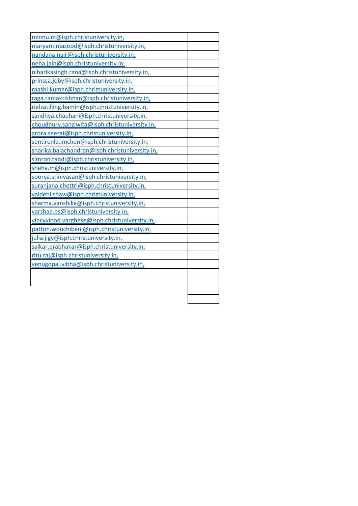| minnu.m@isph.christuniversity.in,              |  |
|------------------------------------------------|--|
| maryam.masood@isph.christuniversity.in,        |  |
| nandana.nair@isph.christuniversity.in,         |  |
| neha.jain@isph.christuniversity.in,            |  |
| niharikasingh.rana@isph.christuniversity.in,   |  |
| prinssa.joby@isph.christuniversity.in,         |  |
| raashi.kumar@isph.christuniversity.in,         |  |
| raga.ramakrishnan@isph.christuniversity.in,    |  |
| rielzatilling.bamin@isph.christuniversity.in,  |  |
| sandhya.chauhan@isph.christuniversity.in,      |  |
| choudhury.sanziwita@isph.christuniversity.in,  |  |
| arora.seerat@isph.christuniversity.in,         |  |
| sentirenla.imchen@isph.christuniversity.in,    |  |
| sharika.balachandran@isph.christuniversity.in, |  |
| simron.tandi@isph.christuniversity.in,         |  |
| sneha.m@isph.christuniversity.in,              |  |
| soorya.srinivasan@isph.christuniversity.in,    |  |
| suranjana.chettri@isph.christuniversity.in,    |  |
| vaidehi.shaw@isph.christuniversity.in,         |  |
| sharma.vanshika@isph.christuniversity.in,      |  |
| varshaa.bs@isph.christuniversity.in,           |  |
| vincyvinod.varghese@isph.christuniversity.in,  |  |
| patton.wonchibeni@isph.christuniversity.in,    |  |
| julia.jigy@isph.christuniversity.in,           |  |
| salkar.prabhakar@isph.christuniversity.in,     |  |
| ritu.raj@isph.christuniversity.in,             |  |
| venugopal.vibha@isph.christuniversity.in,      |  |
|                                                |  |
|                                                |  |
|                                                |  |
|                                                |  |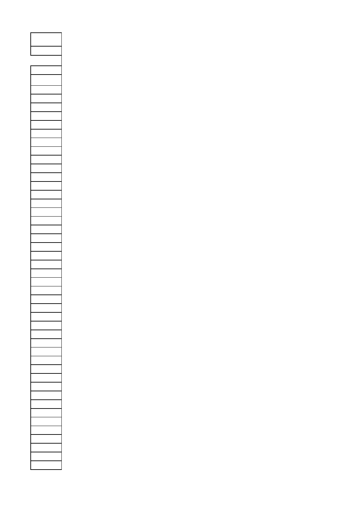